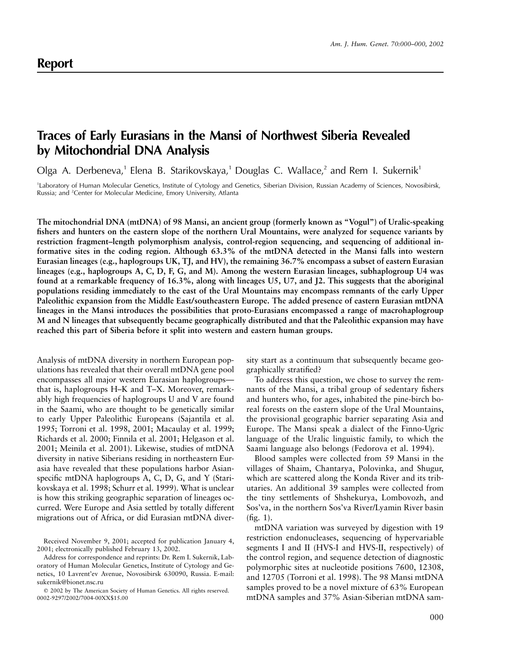## **Traces of Early Eurasians in the Mansi of Northwest Siberia Revealed by Mitochondrial DNA Analysis**

Olga A. Derbeneva,<sup>1</sup> Elena B. Starikovskaya,<sup>1</sup> Douglas C. Wallace,<sup>2</sup> and Rem I. Sukernik<sup>1</sup>

1 Laboratory of Human Molecular Genetics, Institute of Cytology and Genetics, Siberian Division, Russian Academy of Sciences, Novosibirsk, Russia; and <sup>2</sup>Center for Molecular Medicine, Emory University, Atlanta

**The mitochondrial DNA (mtDNA) of 98 Mansi, an ancient group (formerly known as "Vogul") of Uralic-speaking fishers and hunters on the eastern slope of the northern Ural Mountains, were analyzed for sequence variants by restriction fragment–length polymorphism analysis, control-region sequencing, and sequencing of additional informative sites in the coding region. Although 63.3% of the mtDNA detected in the Mansi falls into western Eurasian lineages (e.g., haplogroups UK, TJ, and HV), the remaining 36.7% encompass a subset of eastern Eurasian lineages (e.g., haplogroups A, C, D, F, G, and M). Among the western Eurasian lineages, subhaplogroup U4 was found at a remarkable frequency of 16.3%, along with lineages U5, U7, and J2. This suggests that the aboriginal populations residing immediately to the east of the Ural Mountains may encompass remnants of the early Upper Paleolithic expansion from the Middle East/southeastern Europe. The added presence of eastern Eurasian mtDNA lineages in the Mansi introduces the possibilities that proto-Eurasians encompassed a range of macrohaplogroup M and N lineages that subsequently became geographically distributed and that the Paleolithic expansion may have reached this part of Siberia before it split into western and eastern human groups.**

Analysis of mtDNA diversity in northern European populations has revealed that their overall mtDNA gene pool encompasses all major western Eurasian haplogroups that is, haplogroups H–K and T–X. Moreover, remarkably high frequencies of haplogroups U and V are found in the Saami, who are thought to be genetically similar to early Upper Paleolithic Europeans (Sajantila et al. 1995; Torroni et al. 1998, 2001; Macaulay et al. 1999; Richards et al. 2000; Finnila et al. 2001; Helgason et al. 2001; Meinila et al. 2001). Likewise, studies of mtDNA diversity in native Siberians residing in northeastern Eurasia have revealed that these populations harbor Asianspecific mtDNA haplogroups A, C, D, G, and Y (Starikovskaya et al. 1998; Schurr et al. 1999). What is unclear is how this striking geographic separation of lineages occurred. Were Europe and Asia settled by totally different migrations out of Africa, or did Eurasian mtDNA diver-

sity start as a continuum that subsequently became geographically stratified?

To address this question, we chose to survey the remnants of the Mansi, a tribal group of sedentary fishers and hunters who, for ages, inhabited the pine-birch boreal forests on the eastern slope of the Ural Mountains, the provisional geographic barrier separating Asia and Europe. The Mansi speak a dialect of the Finno-Ugric language of the Uralic linguistic family, to which the Saami language also belongs (Fedorova et al. 1994).

Blood samples were collected from 59 Mansi in the villages of Shaim, Chantarya, Polovinka, and Shugur, which are scattered along the Konda River and its tributaries. An additional 39 samples were collected from the tiny settlements of Shshekurya, Lombovozh, and Sos'va, in the northern Sos'va River/Lyamin River basin (fig. 1).

mtDNA variation was surveyed by digestion with 19 restriction endonucleases, sequencing of hypervariable segments I and II (HVS-I and HVS-II, respectively) of the control region, and sequence detection of diagnostic polymorphic sites at nucleotide positions 7600, 12308, and 12705 (Torroni et al. 1998). The 98 Mansi mtDNA samples proved to be a novel mixture of 63% European mtDNA samples and 37% Asian-Siberian mtDNA sam-

Received November 9, 2001; accepted for publication January 4, 2001; electronically published February 13, 2002.

Address for correspondence and reprints: Dr. Rem I. Sukernik, Laboratory of Human Molecular Genetics, Institute of Cytology and Genetics, 10 Lavrent'ev Avenue, Novosibirsk 630090, Russia. E-mail: sukernik@bionet.nsc.ru

2002 by The American Society of Human Genetics. All rights reserved. 0002-9297/2002/7004-00XX\$15.00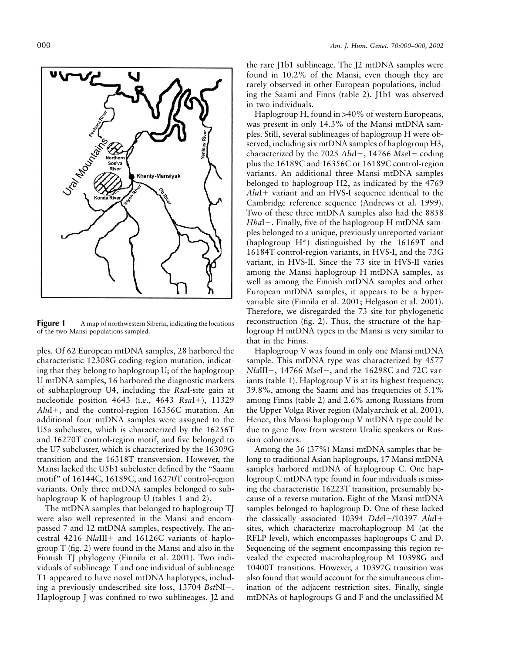

**Figure 1** A map of northwestern Siberia, indicating the locations of the two Mansi populations sampled.

ples. Of 62 European mtDNA samples, 28 harbored the characteristic 12308G coding-region mutation, indicating that they belong to haplogroup U; of the haplogroup U mtDNA samples, 16 harbored the diagnostic markers of subhaplogroup U4, including the *Rsa*I-site gain at nucleotide position 4643 (i.e., 4643 *RsaI*+), 11329 *Alu*I, and the control-region 16356C mutation. An additional four mtDNA samples were assigned to the U5a subcluster, which is characterized by the 16256T and 16270T control-region motif, and five belonged to the U7 subcluster, which is characterized by the 16309G transition and the 16318T transversion. However, the Mansi lacked the U5b1 subcluster defined by the "Saami motif" of 16144C, 16189C, and 16270T control-region variants. Only three mtDNA samples belonged to subhaplogroup K of haplogroup U (tables 1 and 2).

The mtDNA samples that belonged to haplogroup TJ were also well represented in the Mansi and encompassed 7 and 12 mtDNA samples, respectively. The ancestral 4216 *NlaIII* + and 16126C variants of haplogroup T (fig. 2) were found in the Mansi and also in the Finnish TJ phylogeny (Finnila et al. 2001). Two individuals of sublineage T and one individual of sublineage T1 appeared to have novel mtDNA haplotypes, including a previously undescribed site loss, 13704 *Bst*NI-. Haplogroup J was confined to two sublineages, J2 and

the rare J1b1 sublineage. The J2 mtDNA samples were found in 10.2% of the Mansi, even though they are rarely observed in other European populations, including the Saami and Finns (table 2). J1b1 was observed in two individuals.

Haplogroup H, found in >40% of western Europeans, was present in only 14.3% of the Mansi mtDNA samples. Still, several sublineages of haplogroup H were observed, including six mtDNA samples of haplogroup H3, characterized by the 7025 *Alu*I-, 14766 *Mse*I- coding plus the 16189C and 16356C or 16189C control-region variants. An additional three Mansi mtDNA samples belonged to haplogroup H2, as indicated by the 4769 *AluI* + variant and an HVS-I sequence identical to the Cambridge reference sequence (Andrews et al. 1999). Two of these three mtDNA samples also had the 8858 *HhaI*+. Finally, five of the haplogroup H mtDNA samples belonged to a unique, previously unreported variant (haplogroup H\*) distinguished by the 16169T and 16184T control-region variants, in HVS-I, and the 73G variant, in HVS-II. Since the 73 site in HVS-II varies among the Mansi haplogroup H mtDNA samples, as well as among the Finnish mtDNA samples and other European mtDNA samples, it appears to be a hypervariable site (Finnila et al. 2001; Helgason et al. 2001). Therefore, we disregarded the 73 site for phylogenetic reconstruction (fig. 2). Thus, the structure of the haplogroup H mtDNA types in the Mansi is very similar to that in the Finns.

Haplogroup V was found in only one Mansi mtDNA sample. This mtDNA type was characterized by 4577 *Nla*III-, 14766 *Mse*I-, and the 16298C and 72C variants (table 1). Haplogroup V is at its highest frequency, 39.8%, among the Saami and has frequencies of 5.1% among Finns (table 2) and 2.6% among Russians from the Upper Volga River region (Malyarchuk et al. 2001). Hence, this Mansi haplogroup V mtDNA type could be due to gene flow from western Uralic speakers or Russian colonizers.

Among the 36 (37%) Mansi mtDNA samples that belong to traditional Asian haplogroups, 17 Mansi mtDNA samples harbored mtDNA of haplogroup C. One haplogroup C mtDNA type found in four individuals is missing the characteristic 16223T transition, presumably because of a reverse mutation. Eight of the Mansi mtDNA samples belonged to haplogroup D. One of these lacked the classically associated 10394 *DdeI+/10397 AluI+* sites, which characterize macrohaplogroup M (at the RFLP level), which encompasses haplogroups C and D. Sequencing of the segment encompassing this region revealed the expected macrohaplogroup M 10398G and 10400T transitions. However, a 10397G transition was also found that would account for the simultaneous elimination of the adjacent restriction sites. Finally, single mtDNAs of haplogroups G and F and the unclassified M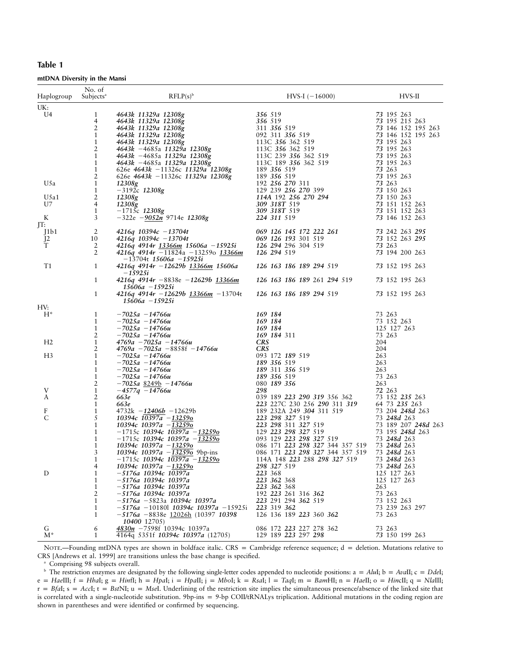| п<br>n | I |
|--------|---|
|--------|---|

mtDNA Diversity in the Mansi

| Haplogroup     | No. of<br>Subjects <sup>a</sup> | $RFLP(s)^b$                                                                       | $HVS-I$ (-16000)                                                               | HVS-II                                   |
|----------------|---------------------------------|-----------------------------------------------------------------------------------|--------------------------------------------------------------------------------|------------------------------------------|
| UK:            |                                 |                                                                                   |                                                                                |                                          |
| U4             | 1                               | 4643k 11329a 12308g                                                               | 356 519                                                                        | 73 195 263                               |
|                | 4                               | 4643k 11329a 12308g                                                               | 356 519                                                                        | 73 195 215 263                           |
|                | 2<br>1                          | 4643k 11329a 12308g<br>4643k 11329a 12308g                                        | 311 356 519<br>092 311 356 519                                                 | 73 146 152 195 263<br>73 146 152 195 263 |
|                | $\mathbf{1}$                    | 4643k 11329a 12308g                                                               | 113C 356 362 519                                                               | 73 195 263                               |
|                | 2                               | 4643k -4685a 11329a 12308g                                                        | 113C 356 362 519                                                               | 73 195 263                               |
|                | 1                               | 4643k -4685a 11329a 12308g                                                        | 113C 239 356 362 519                                                           | 73 195 263                               |
|                | 1                               | 4643k -4685a 11329a 12308g                                                        | 113C 189 356 362 519                                                           | 73 195 263                               |
|                | 1                               | 626e 4643k -11326c 11329a 12308g                                                  | 189 356 519                                                                    | 73 263                                   |
| U5a            | 2<br>$\mathbf{1}$               | 626e 4643k -11326c 11329a 12308g<br>12308g                                        | 189 356 519<br>192 256 270 311                                                 | 73 195 263<br>73 263                     |
|                | 1                               | $-3192c$ 12308g                                                                   | 129 239 256 270 399                                                            | 73 150 263                               |
| U5a1           | 2                               | 12308g                                                                            | 114A 192 256 270 294                                                           | 73 150 263                               |
| U7             | 4                               | 12308g                                                                            | 309 318T 519                                                                   | 73 151 152 263                           |
|                | 1                               | $-1715c$ 12308g                                                                   | 309 318T 519                                                                   | 73 151 152 263                           |
| K              | 3                               | $-322e$ $-9052n$ 9714e 12308g                                                     | 224 311 519                                                                    | 73 146 152 263                           |
| IT:            | 2                               |                                                                                   | 069 126 145 172 222 261                                                        | 73 242 263 295                           |
| J1b1           | 10                              | $4216q$ 10394 $c$ -13704t<br>$4216q$ 10394 $c$ -13704t                            | 069 126 193 301 519                                                            | 73 152 263 295                           |
| $J^2$<br>T     | 2                               | 4216q 4914r 13366m 15606a -15925i                                                 | 126 294 296 304 519                                                            | 73 263                                   |
|                | 2                               | 4216q 4914r -11824a -13259o 13366m<br>$-13704t$ 15606a $-15925i$                  | 126 294 519                                                                    | 73 194 200 263                           |
| T1             | 1                               | $4216q$ 4914r $-12629b$ 13366m 15606a<br>$-15925i$                                | 126 163 186 189 294 519                                                        | 73 152 195 263                           |
|                | 1                               | $4216q$ 4914r $-8838e$ $-12629b$ $13366m$<br>$15606a - 15925i$                    | 126 163 186 189 261 294 519                                                    | 73 152 195 263                           |
|                | 1                               | $4216q$ 4914r $-12629b$ 13366m $-13704t$<br>$15606a - 15925i$                     | 126 163 186 189 294 519                                                        | 73 152 195 263                           |
| HV:            |                                 |                                                                                   |                                                                                |                                          |
| $H^*$          | 1                               | $-7025a - 14766u$                                                                 | 169 184                                                                        | 73 263                                   |
|                | $\mathbf{1}$                    | $-7025a - 14766u$                                                                 | 169 184                                                                        | 73 152 263                               |
|                | 1                               | $-7025a - 14766u$                                                                 | 169 184                                                                        | 125 127 263                              |
|                | 2                               | $-7025a - 14766u$                                                                 | 169 184 311                                                                    | 73 263                                   |
| H <sub>2</sub> | $\mathbf{1}$<br>2               | $4769a - 7025a - 14766u$<br>$4769a - 7025a - 8858f - 14766u$                      | <b>CRS</b><br><b>CRS</b>                                                       | 204<br>204                               |
| H <sub>3</sub> | 1                               | $-7025a - 14766u$                                                                 | 093 172 189 519                                                                | 263                                      |
|                | 1                               | $-7025a - 14766u$                                                                 | 189 356 519                                                                    | 263                                      |
|                | 1                               | –7025a –14766u                                                                    | 189 311 356 519                                                                | 263                                      |
|                | $\mathbf{1}$                    | $-7025a - 14766u$                                                                 | 189 356 519                                                                    | 73 263                                   |
|                | 2                               | $-7025a$ 8249b $-14766u$                                                          | 080 189 356                                                                    | 263                                      |
| V<br>A         | $\mathbf{1}$                    | $-4577q$ $-14766u$                                                                | 298                                                                            | 72 263                                   |
|                | 2<br>$\mathbf{1}$               | 663e<br>663e                                                                      | 039 189 223 290 319 356 362<br>223 227C 230 256 290 311 319                    | 73 152 235 263<br>64 73 235 263          |
| F              | 1                               | $4732k - 12406b - 12629b$                                                         | 189 232A 249 304 311 519                                                       | 73 204 248d 263                          |
| $\mathsf{C}$   | 5                               | 10394c 10397a $-13259$ o                                                          | 223 298 327 519                                                                | 73 248d 263                              |
|                | 1                               | 10394c 10397a $-13259$ o                                                          | 223 298 311 327 519                                                            | 73 189 207 248d 263                      |
|                | 1                               | $-1715c$ 10394c 10397a $-13259o$                                                  | 129 223 298 327 519                                                            | 73 195 248d 263                          |
|                | 1                               | $-1715c$ 10394c 10397a $-13259o$                                                  | 093 129 223 298 327 519                                                        | 73 248d 263                              |
|                | 1<br>3                          | $10394c$ $10397a -13259o$                                                         | 086 171 223 298 327 344 357 519<br>086 171 223 298 327 344 357 519 73 248d 263 | 73 248d 263                              |
|                | 1                               | 10394c 10397a $-132590$ 9bp-ins<br>$-1715c$ 10394c 10397a $-13259o$               | 114A 148 223 288 298 327 519                                                   | 73 248d 263                              |
|                | 4                               | 10394c 10397a -13259o                                                             | 298 327 519                                                                    | 73 248d 263                              |
| D              | 1                               | –5176a 10394c 10397a                                                              | 223 368                                                                        | 125 127 263                              |
|                | 1                               | –5176a 10394c 10397a                                                              | 223 362 368                                                                    | 125 127 263                              |
|                | 1                               | -5176a 10394c 10397a                                                              | 223 362 368                                                                    | 263                                      |
|                | 2                               | –5176a 10394c 10397a                                                              | 192 223 261 316 362                                                            | 73 263                                   |
|                | 1                               | -5176a -5823a 10394c 10397a                                                       | 223 291 294 362 519                                                            | 73 152 263                               |
|                | 1<br>1                          | $-5176a - 101801$ 10394c 10397a $-15925i$<br>$-5176a - 8838e$ 12026h (10397 10398 | 223 319 362<br>126 136 189 223 360 362                                         | 73 239 263 297<br>73 263                 |
| G              | 6                               | 10400 12705)<br>4830n -7598f 10394c 10397a                                        | 086 172 223 227 278 362                                                        | 73 263                                   |
| $M^*$          | 1                               | 4164q 5351f 10394c 10397a (12705)                                                 | 129 189 223 297 298                                                            | 73 150 199 263                           |

NOTE.-Founding mtDNA types are shown in boldface italic. CRS = Cambridge reference sequence; d = deletion. Mutations relative to CRS [Andrews et al. 1999] are transitions unless the base change is specified.

<sup>a</sup> Comprising 98 subjects overall.

<sup>b</sup> The restriction enzymes are designated by the following single-letter codes appended to nucleotide positions:  $a = AluI$ ;  $b = AvaII$ ;  $c = Ddel$ ;  $e = Ha$ e III;  $f = Hha$ I;  $g = Hin$ fI;  $h = Hpa$ I;  $i = Hpa$ II;  $j = Mbo$ I;  $k = Ra$ I;  $l = Taq$ I;  $m = Ban$ HI;  $n = Ha$ II;  $o = Hinc$ II;  $q = Nla$ III;  $r = BfaI$ ;  $s = Accl$ ;  $t = BstNI$ ;  $u = MseI$ . Underlining of the restriction site implies the simultaneous presence/absence of the linked site that is correlated with a single-nucleotide substitution. 9bp-ins = 9-bp COII/tRNALys triplication. Additional mutations in the coding region are shown in parentheses and were identified or confirmed by sequencing.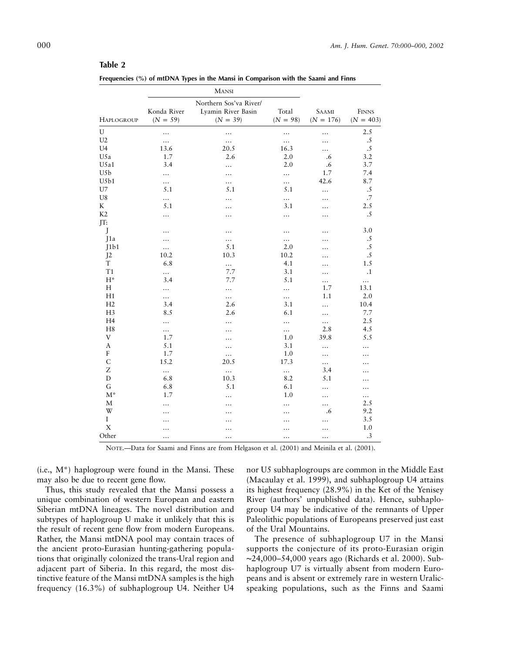## **Table 2**

| Frequencies (%) of mtDNA Types in the Mansi in Comparison with the Saami and Finns |  |
|------------------------------------------------------------------------------------|--|
|------------------------------------------------------------------------------------|--|

|                | MANSI                     |                                                            |                     |                             |                      |
|----------------|---------------------------|------------------------------------------------------------|---------------------|-----------------------------|----------------------|
| HAPLOGROUP     | Konda River<br>$(N = 59)$ | Northern Sos'va River/<br>Lyamin River Basin<br>$(N = 39)$ | Total<br>$(N = 98)$ | <b>SAAMI</b><br>$(N = 176)$ | FINNS<br>$(N = 403)$ |
| U              | .                         |                                                            | .                   | .                           | 2.5                  |
| U <sub>2</sub> | $\ldots$                  | $\ldots$                                                   | $\cdots$            | $\ddotsc$                   | $\cdot$ 5            |
| U4             | 13.6                      | 20.5                                                       | 16.3                |                             | .5                   |
| U5a            | 1.7                       | 2.6                                                        | 2.0                 | .6                          | 3.2                  |
| U5a1           | 3.4                       | .                                                          | 2.0                 | .6                          | 3.7                  |
| U5b            |                           | .                                                          |                     | 1.7                         | 7.4                  |
| U5b1           | .                         |                                                            | .                   | 42.6                        | 8.7                  |
| U7             | 5.1                       | 5.1                                                        | 5.1                 |                             | .5                   |
| U8             | $\ldots$                  | .                                                          |                     |                             | $.7\,$               |
| K              | 5.1                       |                                                            | 3.1                 |                             | 2.5                  |
| K2             | .                         |                                                            | .                   |                             | .5                   |
| IT:            |                           |                                                            |                     |                             |                      |
| J              |                           |                                                            |                     |                             | 3.0                  |
| J1a            | .                         |                                                            |                     |                             | $\cdot$ .5           |
| J1b1           | $\cdots$                  | 5.1                                                        | 2.0                 |                             | $\cdot$ 5            |
| J <sub>2</sub> | 10.2                      | 10.3                                                       | 10.2                | .                           | $\cdot$ .5           |
| $\mathbf T$    | 6.8                       | $\ldots$                                                   | 4.1                 |                             | 1.5                  |
| T1             | $\ldots$                  | 7.7                                                        | 3.1                 |                             | $\cdot$ 1            |
| $H^*$          | 3.4                       | 7.7                                                        | 5.1                 |                             | $\cdots$             |
| H              |                           |                                                            |                     | 1.7                         | 13.1                 |
| H1             | .                         |                                                            |                     | 1.1                         | 2.0                  |
| H2             | 3.4                       | 2.6                                                        | 3.1                 | .                           | 10.4                 |
| H <sub>3</sub> | 8.5                       | 2.6                                                        | 6.1                 | .                           | 7.7                  |
| H <sub>4</sub> | .                         | .                                                          | .                   | $\cdots$                    | 2.5                  |
| H <sub>8</sub> |                           |                                                            |                     | 2.8                         | 4.5                  |
| V              | 1.7                       | .                                                          | 1.0                 | 39.8                        | 5.5                  |
| A              | 5.1                       | .                                                          | 3.1                 | .                           | .                    |
| F              | 1.7                       |                                                            | 1.0                 |                             |                      |
| $\mathsf{C}$   | 15.2                      | 20.5                                                       | 17.3                | $\cdots$                    |                      |
| Z              |                           | $\ldots$                                                   |                     | 3.4                         |                      |
| ${\rm D}$      | 6.8                       | 10.3                                                       | 8.2                 | 5.1                         |                      |
| G              | 6.8                       | 5.1                                                        | 6.1                 | .                           | .                    |
| $M^*$          | 1.7                       |                                                            | 1.0                 |                             | .                    |
| М              |                           | .                                                          |                     |                             | $\cdots$<br>2.5      |
| W              | $\ddotsc$                 | .                                                          | $\ddotsc$           | <br>.6                      | 9.2                  |
| I              | .                         |                                                            |                     |                             | 3.5                  |
| X              |                           |                                                            | .                   |                             | 1.0                  |
|                | .                         | .                                                          | $\ddotsc$           | $\ddotsc$                   | .3                   |
| Other          | .                         | .                                                          |                     |                             |                      |

NOTE.—Data for Saami and Finns are from Helgason et al. (2001) and Meinila et al. (2001).

 $(i.e., M^*)$  haplogroup were found in the Mansi. These may also be due to recent gene flow.

Thus, this study revealed that the Mansi possess a unique combination of western European and eastern Siberian mtDNA lineages. The novel distribution and subtypes of haplogroup U make it unlikely that this is the result of recent gene flow from modern Europeans. Rather, the Mansi mtDNA pool may contain traces of the ancient proto-Eurasian hunting-gathering populations that originally colonized the trans-Ural region and adjacent part of Siberia. In this regard, the most distinctive feature of the Mansi mtDNA samples is the high frequency (16.3%) of subhaplogroup U4. Neither U4

nor U5 subhaplogroups are common in the Middle East (Macaulay et al. 1999), and subhaplogroup U4 attains its highest frequency (28.9%) in the Ket of the Yenisey River (authors' unpublished data). Hence, subhaplogroup U4 may be indicative of the remnants of Upper Paleolithic populations of Europeans preserved just east of the Ural Mountains.

The presence of subhaplogroup U7 in the Mansi supports the conjecture of its proto-Eurasian origin ∼24,000–54,000 years ago (Richards et al. 2000). Subhaplogroup U7 is virtually absent from modern Europeans and is absent or extremely rare in western Uralicspeaking populations, such as the Finns and Saami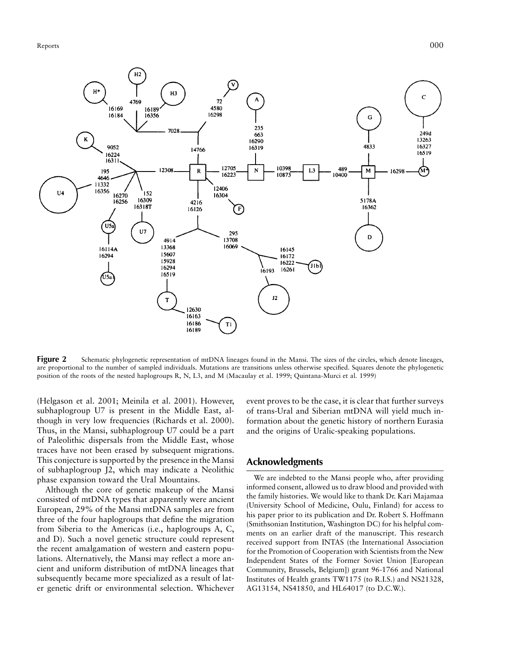

**Figure 2** Schematic phylogenetic representation of mtDNA lineages found in the Mansi. The sizes of the circles, which denote lineages, are proportional to the number of sampled individuals. Mutations are transitions unless otherwise specified. Squares denote the phylogenetic position of the roots of the nested haplogroups R, N, L3, and M (Macaulay et al. 1999; Quintana-Murci et al. 1999)

(Helgason et al. 2001; Meinila et al. 2001). However, subhaplogroup U7 is present in the Middle East, although in very low frequencies (Richards et al. 2000). Thus, in the Mansi, subhaplogroup U7 could be a part of Paleolithic dispersals from the Middle East, whose traces have not been erased by subsequent migrations. This conjecture is supported by the presence in the Mansi of subhaplogroup J2, which may indicate a Neolithic phase expansion toward the Ural Mountains.

Although the core of genetic makeup of the Mansi consisted of mtDNA types that apparently were ancient European, 29% of the Mansi mtDNA samples are from three of the four haplogroups that define the migration from Siberia to the Americas (i.e., haplogroups A, C, and D). Such a novel genetic structure could represent the recent amalgamation of western and eastern populations. Alternatively, the Mansi may reflect a more ancient and uniform distribution of mtDNA lineages that subsequently became more specialized as a result of later genetic drift or environmental selection. Whichever

event proves to be the case, it is clear that further surveys of trans-Ural and Siberian mtDNA will yield much information about the genetic history of northern Eurasia and the origins of Uralic-speaking populations.

## **Acknowledgments**

We are indebted to the Mansi people who, after providing informed consent, allowed us to draw blood and provided with the family histories. We would like to thank Dr. Kari Majamaa (University School of Medicine, Oulu, Finland) for access to his paper prior to its publication and Dr. Robert S. Hoffmann (Smithsonian Institution, Washington DC) for his helpful comments on an earlier draft of the manuscript. This research received support from INTAS (the International Association for the Promotion of Cooperation with Scientists from the New Independent States of the Former Soviet Union [European Community, Brussels, Belgium]) grant 96-1766 and National Institutes of Health grants TW1175 (to R.I.S.) and NS21328, AG13154, NS41850, and HL64017 (to D.C.W.).